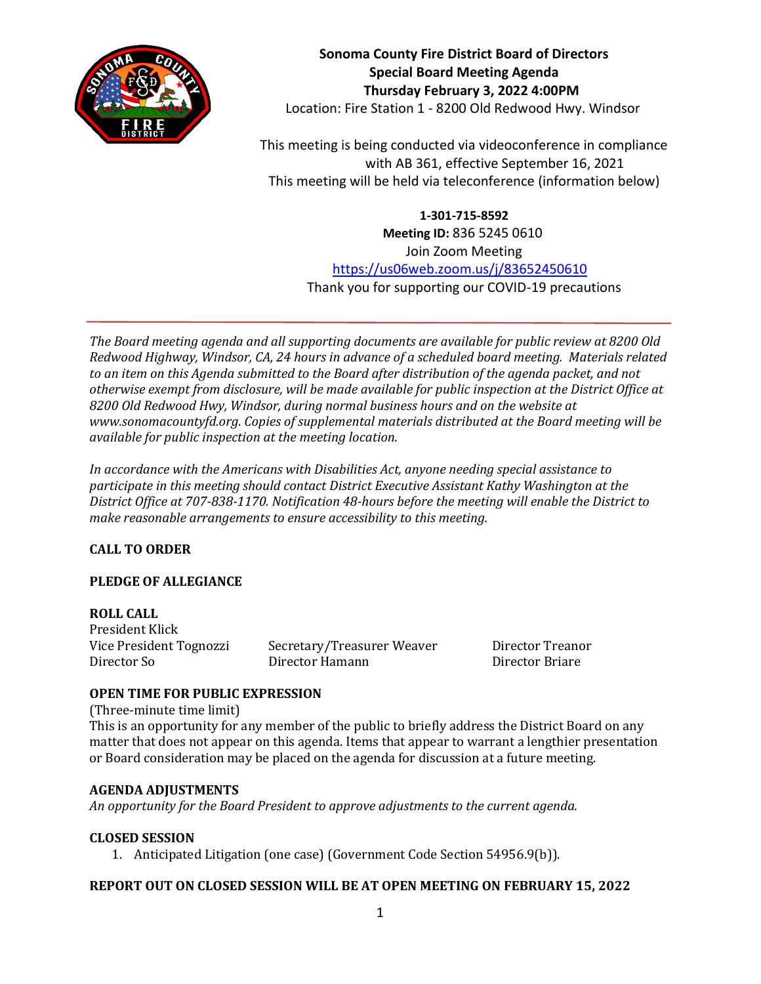

**Sonoma County Fire District Board of Directors Special Board Meeting Agenda Thursday February 3, 2022 4:00PM** Location: Fire Station 1 - 8200 Old Redwood Hwy. Windsor

This meeting is being conducted via videoconference in compliance with AB 361, effective September 16, 2021 This meeting will be held via teleconference (information below)

> **1-301-715-8592 Meeting ID:** 836 5245 0610 Join Zoom Meeting <https://us06web.zoom.us/j/83652450610> Thank you for supporting our COVID-19 precautions

*The Board meeting agenda and all supporting documents are available for public review at 8200 Old Redwood Highway, Windsor, CA, 24 hours in advance of a scheduled board meeting. Materials related to an item on this Agenda submitted to the Board after distribution of the agenda packet, and not otherwise exempt from disclosure, will be made available for public inspection at the District Office at 8200 Old Redwood Hwy, Windsor, during normal business hours and on the website at www.sonomacountyfd.org. Copies of supplemental materials distributed at the Board meeting will be available for public inspection at the meeting location.*

*In accordance with the Americans with Disabilities Act, anyone needing special assistance to participate in this meeting should contact District Executive Assistant Kathy Washington at the District Office at 707-838-1170. Notification 48-hours before the meeting will enable the District to make reasonable arrangements to ensure accessibility to this meeting.*

# **CALL TO ORDER**

## **PLEDGE OF ALLEGIANCE**

**ROLL CALL** President Klick

Vice President Tognozzi Secretary/Treasurer Weaver Director Treanor Director So Director Hamann Director Briare

## **OPEN TIME FOR PUBLIC EXPRESSION**

(Three-minute time limit) This is an opportunity for any member of the public to briefly address the District Board on any matter that does not appear on this agenda. Items that appear to warrant a lengthier presentation or Board consideration may be placed on the agenda for discussion at a future meeting.

### **AGENDA ADJUSTMENTS**

*An opportunity for the Board President to approve adjustments to the current agenda.*

### **CLOSED SESSION**

1. Anticipated Litigation (one case) (Government Code Section 54956.9(b)).

### **REPORT OUT ON CLOSED SESSION WILL BE AT OPEN MEETING ON FEBRUARY 15, 2022**